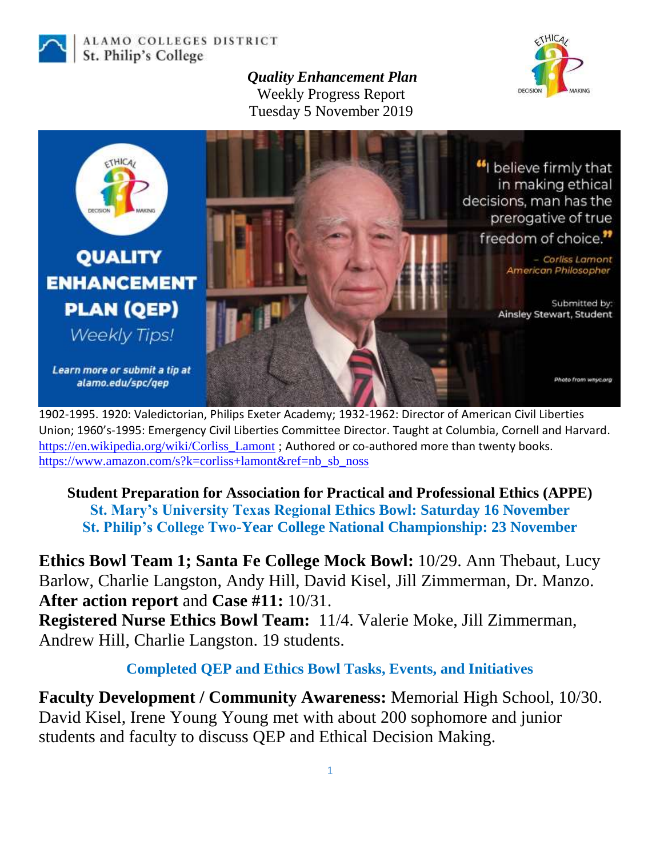

ALAMO COLLEGES DISTRICT St. Philip's College

> *Quality Enhancement Plan* Weekly Progress Report Tuesday 5 November 2019





1902-1995. 1920: Valedictorian, Philips Exeter Academy; 1932-1962: Director of American Civil Liberties Union; 1960's-1995: Emergency Civil Liberties Committee Director. Taught at Columbia, Cornell and Harvard. [https://en.wikipedia.org/wiki/Corliss\\_Lamont](https://en.wikipedia.org/wiki/Corliss_Lamont) ; Authored or co-authored more than twenty books. [https://www.amazon.com/s?k=corliss+lamont&ref=nb\\_sb\\_noss](https://www.amazon.com/s?k=corliss+lamont&ref=nb_sb_noss)

**Student Preparation for Association for Practical and Professional Ethics (APPE) St. Mary's University Texas Regional Ethics Bowl: Saturday 16 November St. Philip's College Two-Year College National Championship: 23 November**

**Ethics Bowl Team 1; Santa Fe College Mock Bowl:** 10/29. Ann Thebaut, Lucy Barlow, Charlie Langston, Andy Hill, David Kisel, Jill Zimmerman, Dr. Manzo. **After action report** and **Case #11:** 10/31. **Registered Nurse Ethics Bowl Team:** 11/4. Valerie Moke, Jill Zimmerman, Andrew Hill, Charlie Langston. 19 students.

**Completed QEP and Ethics Bowl Tasks, Events, and Initiatives**

**Faculty Development / Community Awareness:** Memorial High School, 10/30. David Kisel, Irene Young Young met with about 200 sophomore and junior students and faculty to discuss QEP and Ethical Decision Making.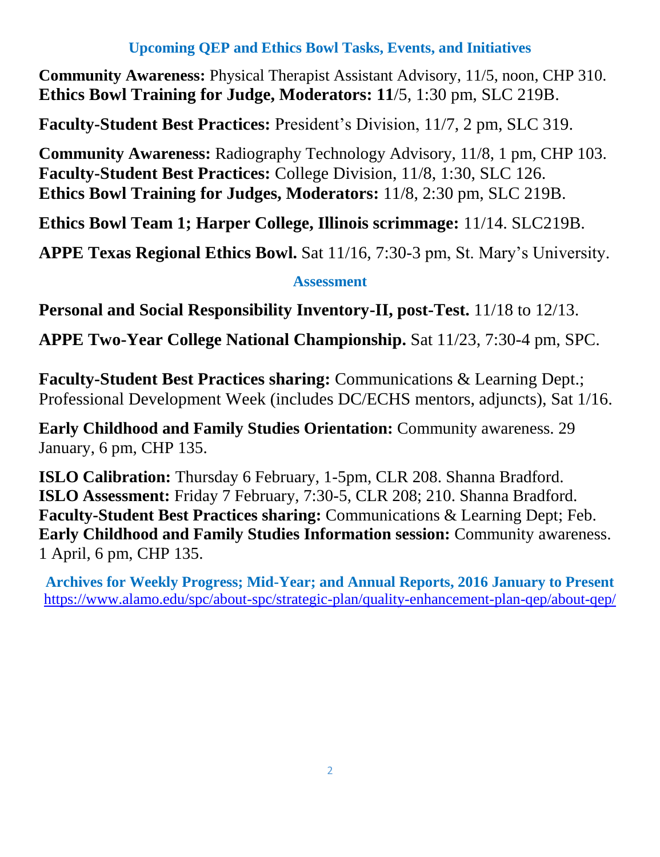## **Upcoming QEP and Ethics Bowl Tasks, Events, and Initiatives**

**Community Awareness:** Physical Therapist Assistant Advisory, 11/5, noon, CHP 310. **Ethics Bowl Training for Judge, Moderators: 11**/5, 1:30 pm, SLC 219B.

**Faculty-Student Best Practices:** President's Division, 11/7, 2 pm, SLC 319.

**Community Awareness:** Radiography Technology Advisory, 11/8, 1 pm, CHP 103. **Faculty-Student Best Practices:** College Division, 11/8, 1:30, SLC 126. **Ethics Bowl Training for Judges, Moderators:** 11/8, 2:30 pm, SLC 219B.

**Ethics Bowl Team 1; Harper College, Illinois scrimmage:** 11/14. SLC219B.

**APPE Texas Regional Ethics Bowl.** Sat 11/16, 7:30-3 pm, St. Mary's University.

## **Assessment**

**Personal and Social Responsibility Inventory-II, post-Test.** 11/18 to 12/13.

**APPE Two-Year College National Championship.** Sat 11/23, 7:30-4 pm, SPC.

**Faculty-Student Best Practices sharing:** Communications & Learning Dept.; Professional Development Week (includes DC/ECHS mentors, adjuncts), Sat 1/16.

**Early Childhood and Family Studies Orientation:** Community awareness. 29 January, 6 pm, CHP 135.

**ISLO Calibration:** Thursday 6 February, 1-5pm, CLR 208. Shanna Bradford. **ISLO Assessment:** Friday 7 February, 7:30-5, CLR 208; 210. Shanna Bradford. **Faculty-Student Best Practices sharing:** Communications & Learning Dept; Feb. **Early Childhood and Family Studies Information session:** Community awareness. 1 April, 6 pm, CHP 135.

**Archives for Weekly Progress; Mid-Year; and Annual Reports, 2016 January to Present** <https://www.alamo.edu/spc/about-spc/strategic-plan/quality-enhancement-plan-qep/about-qep/>